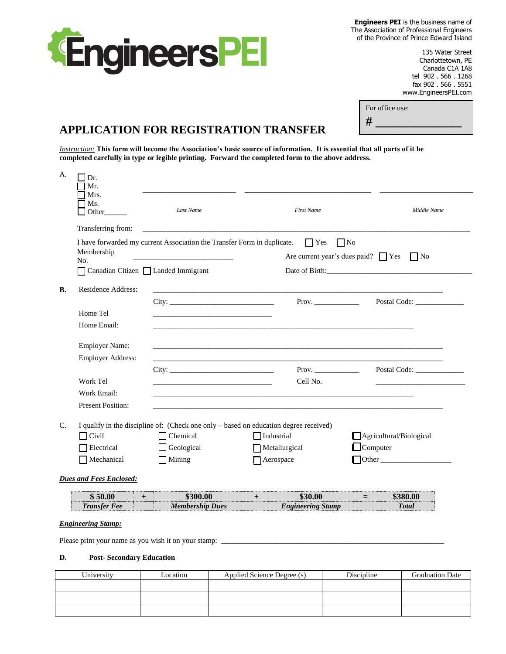

**Engineers PEI** is the business name of The Association of Professional Engineers of the Province of Prince Edward Island

> 135 Water Street Charlottetown, PE Canada C1A 1A8 tel 902 . 566 . 1268 fax 902 . 566 . 5551 www.EngineersPEI.com

| For office use: |
|-----------------|
|                 |
|                 |

# **APPLICATION FOR REGISTRATION TRANSFER**

*Instruction:* **This form will become the Association's basic source of information. It is essential that all parts of it be completed carefully in type or legible printing. Forward the completed form to the above address.** 

| A.                             | Dr.<br>Mr.<br>Mrs.                |                                                                                       |                          |                                                    |
|--------------------------------|-----------------------------------|---------------------------------------------------------------------------------------|--------------------------|----------------------------------------------------|
|                                | Ms.<br>Other                      | Last Name                                                                             | <b>First Name</b>        | Middle Name                                        |
|                                | Transferring from:                |                                                                                       |                          |                                                    |
|                                | Membership<br>No.                 | I have forwarded my current Association the Transfer Form in duplicate.               | $\prod$ Yes<br>$\Box$ No | Are current year's dues paid? $\Box$ Yes $\Box$ No |
|                                | Canadian Citizen Landed Immigrant |                                                                                       |                          |                                                    |
| В.                             | Residence Address:                |                                                                                       |                          |                                                    |
|                                |                                   | City:                                                                                 | Prov.                    |                                                    |
|                                | Home Tel                          |                                                                                       |                          |                                                    |
|                                | Home Email:                       |                                                                                       |                          |                                                    |
|                                | <b>Employer Name:</b>             |                                                                                       |                          |                                                    |
|                                | <b>Employer Address:</b>          |                                                                                       |                          |                                                    |
|                                |                                   | City:                                                                                 |                          | Prov. Postal Code:                                 |
|                                | Work Tel                          |                                                                                       | Cell No.                 |                                                    |
|                                | Work Email:                       |                                                                                       |                          |                                                    |
|                                | <b>Present Position:</b>          |                                                                                       |                          |                                                    |
| $C_{\cdot}$                    |                                   | I qualify in the discipline of: (Check one only – based on education degree received) |                          |                                                    |
|                                | $\Box$ Civil                      | $\Box$ Chemical                                                                       | $\Box$ Industrial        | Agricultural/Biological                            |
|                                | <b>Electrical</b>                 | $\Box$ Geological                                                                     | Metallurgical            | $\Box$ Computer                                    |
|                                | Mechanical                        | $\Box$ Mining                                                                         | Aerospace                | $\Box$ Other $\Box$                                |
| <b>Dues and Fees Enclosed:</b> |                                   |                                                                                       |                          |                                                    |
|                                | \$50.00<br>$+$                    | \$300.00                                                                              | \$30.00<br>$+$           | \$380.00<br>$=$                                    |
|                                | <b>Transfer Fee</b>               | <b>Membership Dues</b>                                                                | <b>Engineering Stamp</b> | <b>Total</b>                                       |
|                                | <b>Engineering Stamp:</b>         |                                                                                       |                          |                                                    |

Please print your name as you wish it on your stamp:

### **D. Post- Secondary Education**

| University | Location | Applied Science Degree (s) | Discipline | <b>Graduation Date</b> |
|------------|----------|----------------------------|------------|------------------------|
|            |          |                            |            |                        |
|            |          |                            |            |                        |
|            |          |                            |            |                        |